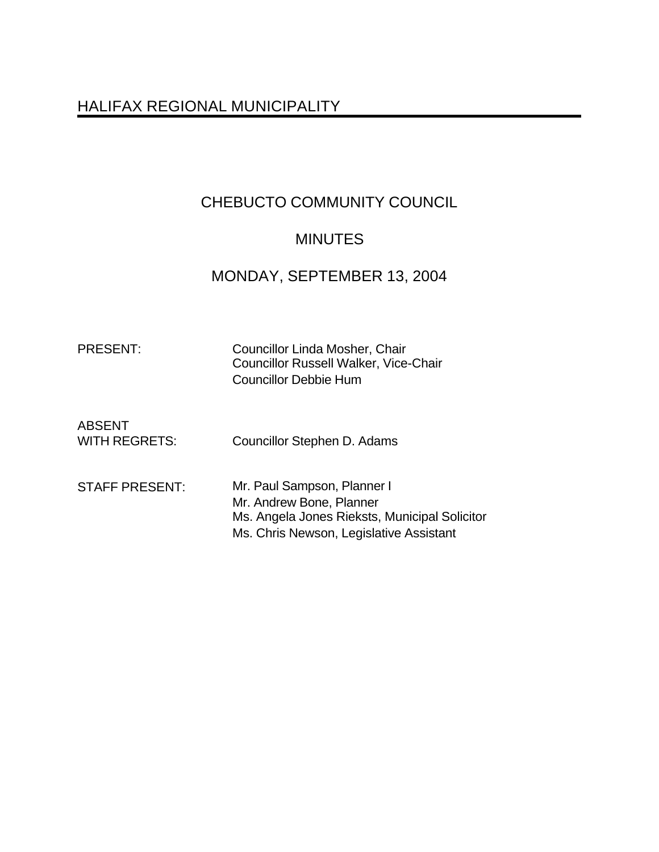# HALIFAX REGIONAL MUNICIPALITY

# CHEBUCTO COMMUNITY COUNCIL

# MINUTES

# MONDAY, SEPTEMBER 13, 2004

| . כוי  |  |
|--------|--|
| RESEN⊺ |  |
|        |  |

Councillor Linda Mosher, Chair Councillor Russell Walker, Vice-Chair Councillor Debbie Hum

| <b>ABSENT</b><br><b>WITH REGRETS:</b> | Councillor Stephen D. Adams                                                                                                                         |
|---------------------------------------|-----------------------------------------------------------------------------------------------------------------------------------------------------|
| <b>STAFF PRESENT:</b>                 | Mr. Paul Sampson, Planner I<br>Mr. Andrew Bone, Planner<br>Ms. Angela Jones Rieksts, Municipal Solicitor<br>Ms. Chris Newson, Legislative Assistant |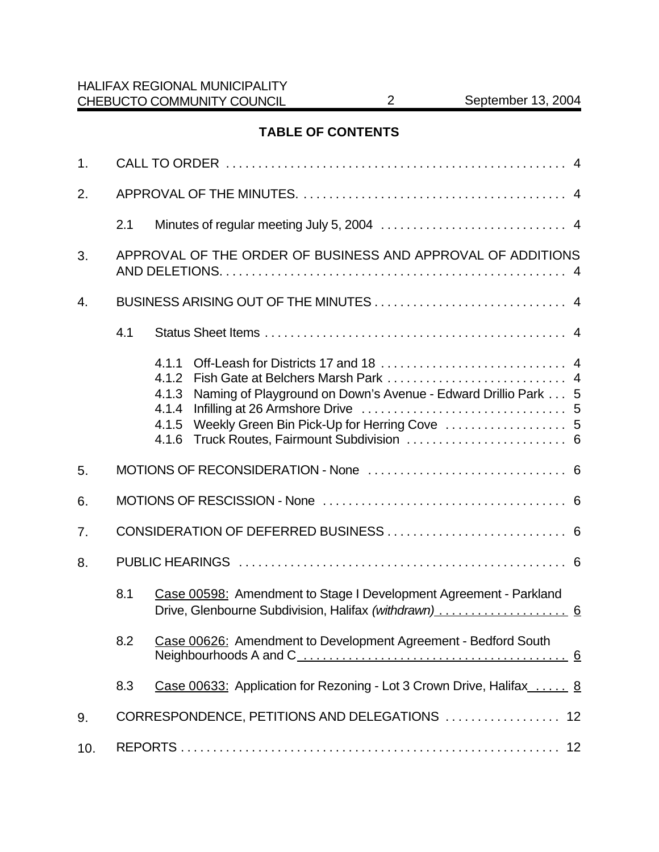# **TABLE OF CONTENTS**

| 1.  |     |                                                                                                                                                                     |  |  |  |
|-----|-----|---------------------------------------------------------------------------------------------------------------------------------------------------------------------|--|--|--|
| 2.  |     |                                                                                                                                                                     |  |  |  |
|     | 2.1 |                                                                                                                                                                     |  |  |  |
| 3.  |     | APPROVAL OF THE ORDER OF BUSINESS AND APPROVAL OF ADDITIONS                                                                                                         |  |  |  |
| 4.  |     |                                                                                                                                                                     |  |  |  |
|     | 4.1 |                                                                                                                                                                     |  |  |  |
|     |     | 4.1.1<br>4.1.2<br>Naming of Playground on Down's Avenue - Edward Drillio Park 5<br>4.1.3<br>4.1.4<br>Weekly Green Bin Pick-Up for Herring Cove  5<br>4.1.5<br>4.1.6 |  |  |  |
| 5.  |     |                                                                                                                                                                     |  |  |  |
| 6.  |     |                                                                                                                                                                     |  |  |  |
| 7.  |     |                                                                                                                                                                     |  |  |  |
| 8.  |     |                                                                                                                                                                     |  |  |  |
|     | 8.1 | Case 00598: Amendment to Stage I Development Agreement - Parkland<br>Drive, Glenbourne Subdivision, Halifax (withdrawn)  6                                          |  |  |  |
|     |     | 8.2 Case 00626: Amendment to Development Agreement - Bedford South                                                                                                  |  |  |  |
|     | 8.3 | Case 00633: Application for Rezoning - Lot 3 Crown Drive, Halifax  8                                                                                                |  |  |  |
| 9.  |     | CORRESPONDENCE, PETITIONS AND DELEGATIONS  12                                                                                                                       |  |  |  |
| 10. |     |                                                                                                                                                                     |  |  |  |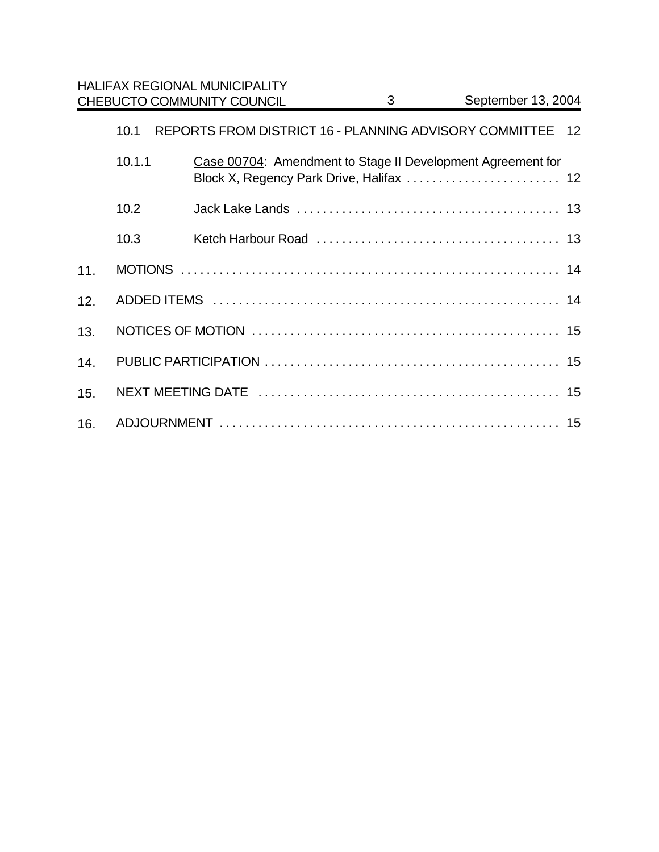|     |        | <b>HALIFAX REGIONAL MUNICIPALITY</b><br><b>CHEBUCTO COMMUNITY COUNCIL</b> | 3 | September 13, 2004 |       |
|-----|--------|---------------------------------------------------------------------------|---|--------------------|-------|
|     | 10.1   | REPORTS FROM DISTRICT 16 - PLANNING ADVISORY COMMITTEE                    |   |                    | $-12$ |
|     | 10.1.1 | Case 00704: Amendment to Stage II Development Agreement for               |   |                    |       |
|     | 10.2   |                                                                           |   |                    |       |
|     | 10.3   |                                                                           |   |                    |       |
| 11. |        |                                                                           |   |                    |       |
| 12. |        |                                                                           |   |                    |       |
| 13. |        |                                                                           |   |                    |       |
| 14. |        |                                                                           |   |                    |       |
| 15. |        |                                                                           |   |                    |       |
| 16. |        |                                                                           |   |                    |       |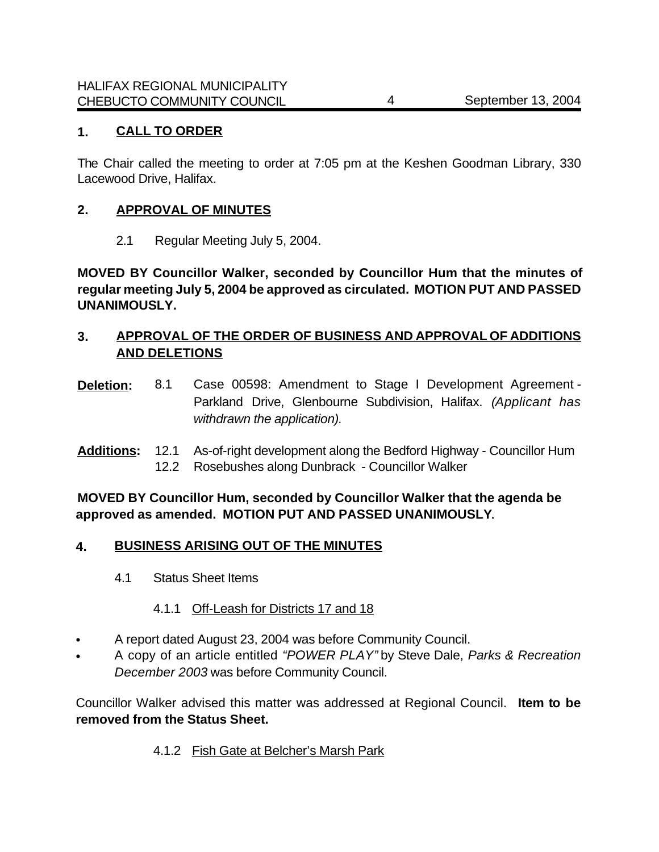### **1. CALL TO ORDER**

The Chair called the meeting to order at 7:05 pm at the Keshen Goodman Library, 330 Lacewood Drive, Halifax.

### **2. APPROVAL OF MINUTES**

2.1 Regular Meeting July 5, 2004.

**MOVED BY Councillor Walker, seconded by Councillor Hum that the minutes of regular meeting July 5, 2004 be approved as circulated. MOTION PUT AND PASSED UNANIMOUSLY.**

### **3. APPROVAL OF THE ORDER OF BUSINESS AND APPROVAL OF ADDITIONS AND DELETIONS**

- **Deletion:** 8.1 Case 00598: Amendment to Stage I Development Agreement -Parkland Drive, Glenbourne Subdivision, Halifax. *(Applicant has withdrawn the application).*
- **Additions:** 12.1 As-of-right development along the Bedford Highway Councillor Hum 12.2 Rosebushes along Dunbrack - Councillor Walker

**MOVED BY Councillor Hum, seconded by Councillor Walker that the agenda be approved as amended. MOTION PUT AND PASSED UNANIMOUSLY.**

### **4. BUSINESS ARISING OUT OF THE MINUTES**

4.1 Status Sheet Items

### 4.1.1 Off-Leash for Districts 17 and 18

- A report dated August 23, 2004 was before Community Council.
- A copy of an article entitled *"POWER PLAY"* by Steve Dale, *Parks & Recreation December 2003* was before Community Council.

Councillor Walker advised this matter was addressed at Regional Council. **Item to be removed from the Status Sheet.** 

#### 4.1.2 Fish Gate at Belcher's Marsh Park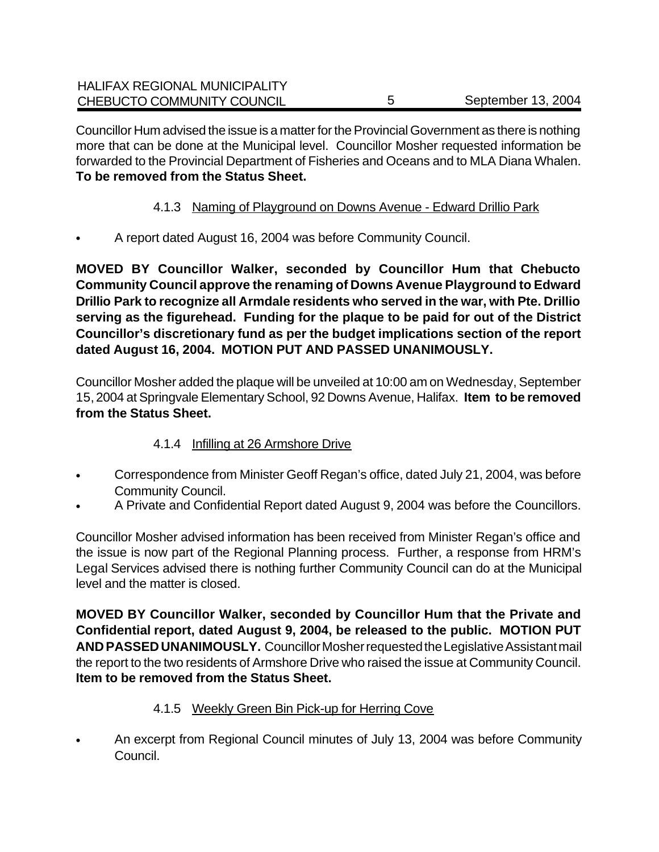| <b>HALIFAX REGIONAL MUNICIPALITY</b> |                    |
|--------------------------------------|--------------------|
| CHEBUCTO COMMUNITY COUNCIL           | September 13, 2004 |

Councillor Hum advised the issue is a matter for the Provincial Government as there is nothing more that can be done at the Municipal level. Councillor Mosher requested information be forwarded to the Provincial Department of Fisheries and Oceans and to MLA Diana Whalen. **To be removed from the Status Sheet.** 

- 4.1.3 Naming of Playground on Downs Avenue Edward Drillio Park
- A report dated August 16, 2004 was before Community Council.

**MOVED BY Councillor Walker, seconded by Councillor Hum that Chebucto Community Council approve the renaming of Downs Avenue Playground to Edward Drillio Park to recognize all Armdale residents who served in the war, with Pte. Drillio serving as the figurehead. Funding for the plaque to be paid for out of the District Councillor's discretionary fund as per the budget implications section of the report dated August 16, 2004. MOTION PUT AND PASSED UNANIMOUSLY.**

Councillor Mosher added the plaque will be unveiled at 10:00 am on Wednesday, September 15, 2004 at Springvale Elementary School, 92 Downs Avenue, Halifax. **Item to be removed from the Status Sheet.** 

### 4.1.4 Infilling at 26 Armshore Drive

- Correspondence from Minister Geoff Regan's office, dated July 21, 2004, was before Community Council.
- A Private and Confidential Report dated August 9, 2004 was before the Councillors.

Councillor Mosher advised information has been received from Minister Regan's office and the issue is now part of the Regional Planning process. Further, a response from HRM's Legal Services advised there is nothing further Community Council can do at the Municipal level and the matter is closed.

**MOVED BY Councillor Walker, seconded by Councillor Hum that the Private and Confidential report, dated August 9, 2004, be released to the public. MOTION PUT AND PASSED UNANIMOUSLY.** Councillor Mosher requested the Legislative Assistant mail the report to the two residents of Armshore Drive who raised the issue at Community Council. **Item to be removed from the Status Sheet.** 

## 4.1.5 Weekly Green Bin Pick-up for Herring Cove

• An excerpt from Regional Council minutes of July 13, 2004 was before Community Council.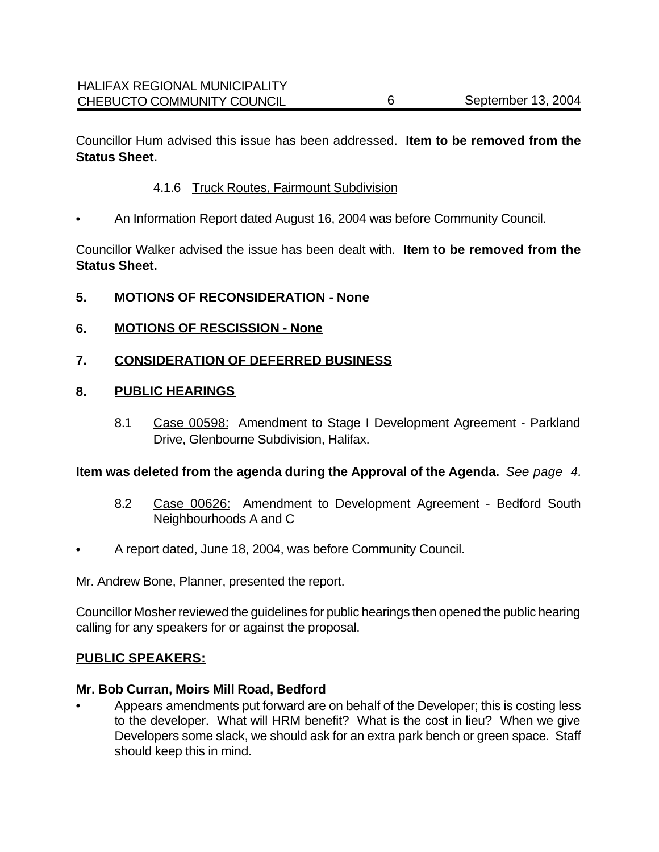Councillor Hum advised this issue has been addressed. **Item to be removed from the Status Sheet.** 

### 4.1.6 Truck Routes, Fairmount Subdivision

• An Information Report dated August 16, 2004 was before Community Council.

Councillor Walker advised the issue has been dealt with. **Item to be removed from the Status Sheet.**

### **5. MOTIONS OF RECONSIDERATION - None**

**6. MOTIONS OF RESCISSION - None**

### **7. CONSIDERATION OF DEFERRED BUSINESS**

#### **8. PUBLIC HEARINGS**

8.1 Case 00598: Amendment to Stage I Development Agreement - Parkland Drive, Glenbourne Subdivision, Halifax.

#### **Item was deleted from the agenda during the Approval of the Agenda.** *See page 4.*

- 8.2 Case 00626: Amendment to Development Agreement Bedford South Neighbourhoods A and C
- A report dated, June 18, 2004, was before Community Council.

Mr. Andrew Bone, Planner, presented the report.

Councillor Mosher reviewed the guidelines for public hearings then opened the public hearing calling for any speakers for or against the proposal.

#### **PUBLIC SPEAKERS:**

#### **Mr. Bob Curran, Moirs Mill Road, Bedford**

• Appears amendments put forward are on behalf of the Developer; this is costing less to the developer. What will HRM benefit? What is the cost in lieu? When we give Developers some slack, we should ask for an extra park bench or green space. Staff should keep this in mind.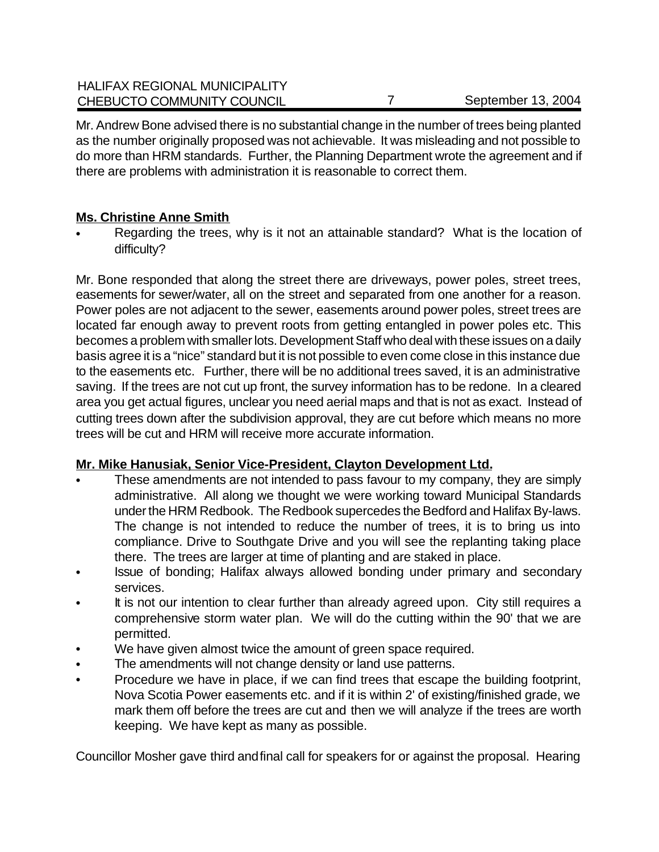Mr. Andrew Bone advised there is no substantial change in the number of trees being planted as the number originally proposed was not achievable. It was misleading and not possible to do more than HRM standards. Further, the Planning Department wrote the agreement and if there are problems with administration it is reasonable to correct them.

### **Ms. Christine Anne Smith**

• Regarding the trees, why is it not an attainable standard? What is the location of difficulty?

Mr. Bone responded that along the street there are driveways, power poles, street trees, easements for sewer/water, all on the street and separated from one another for a reason. Power poles are not adjacent to the sewer, easements around power poles, street trees are located far enough away to prevent roots from getting entangled in power poles etc. This becomes a problem with smaller lots. Development Staff who deal with these issues on a daily basis agree it is a "nice" standard but it is not possible to even come close in this instance due to the easements etc. Further, there will be no additional trees saved, it is an administrative saving. If the trees are not cut up front, the survey information has to be redone. In a cleared area you get actual figures, unclear you need aerial maps and that is not as exact. Instead of cutting trees down after the subdivision approval, they are cut before which means no more trees will be cut and HRM will receive more accurate information.

## **Mr. Mike Hanusiak, Senior Vice-President, Clayton Development Ltd.**

- These amendments are not intended to pass favour to my company, they are simply administrative. All along we thought we were working toward Municipal Standards under the HRM Redbook. The Redbook supercedes the Bedford and Halifax By-laws. The change is not intended to reduce the number of trees, it is to bring us into compliance. Drive to Southgate Drive and you will see the replanting taking place there. The trees are larger at time of planting and are staked in place.
- Issue of bonding; Halifax always allowed bonding under primary and secondary services.
- It is not our intention to clear further than already agreed upon. City still requires a comprehensive storm water plan. We will do the cutting within the 90' that we are permitted.
- We have given almost twice the amount of green space required.
- The amendments will not change density or land use patterns.
- Procedure we have in place, if we can find trees that escape the building footprint, Nova Scotia Power easements etc. and if it is within 2' of existing/finished grade, we mark them off before the trees are cut and then we will analyze if the trees are worth keeping. We have kept as many as possible.

Councillor Mosher gave third and final call for speakers for or against the proposal. Hearing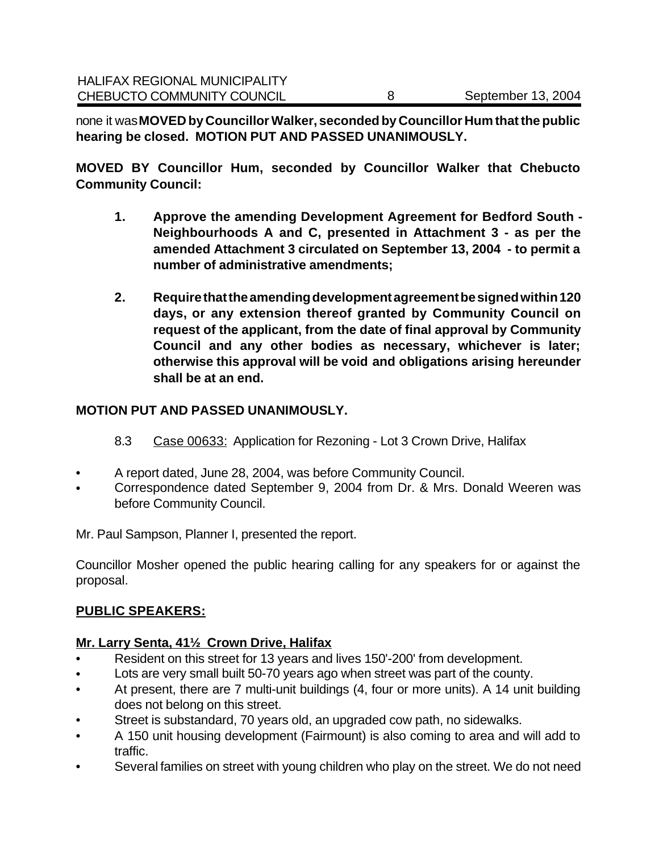none it was **MOVED by Councillor Walker, seconded by Councillor Hum that the public hearing be closed. MOTION PUT AND PASSED UNANIMOUSLY.**

**MOVED BY Councillor Hum, seconded by Councillor Walker that Chebucto Community Council:**

- **1. Approve the amending Development Agreement for Bedford South - Neighbourhoods A and C, presented in Attachment 3 - as per the amended Attachment 3 circulated on September 13, 2004 - to permit a number of administrative amendments;**
- **2. Require that the amending development agreement be signed within 120 days, or any extension thereof granted by Community Council on request of the applicant, from the date of final approval by Community Council and any other bodies as necessary, whichever is later; otherwise this approval will be void and obligations arising hereunder shall be at an end.**

### **MOTION PUT AND PASSED UNANIMOUSLY.**

- 8.3 Case 00633: Application for Rezoning Lot 3 Crown Drive, Halifax
- A report dated, June 28, 2004, was before Community Council.
- Correspondence dated September 9, 2004 from Dr. & Mrs. Donald Weeren was before Community Council.

Mr. Paul Sampson, Planner I, presented the report.

Councillor Mosher opened the public hearing calling for any speakers for or against the proposal.

## **PUBLIC SPEAKERS:**

## **Mr. Larry Senta, 41½ Crown Drive, Halifax**

- Resident on this street for 13 years and lives 150'-200' from development.
- Lots are very small built 50-70 years ago when street was part of the county.
- At present, there are 7 multi-unit buildings (4, four or more units). A 14 unit building does not belong on this street.
- Street is substandard, 70 years old, an upgraded cow path, no sidewalks.
- A 150 unit housing development (Fairmount) is also coming to area and will add to traffic.
- Several families on street with young children who play on the street. We do not need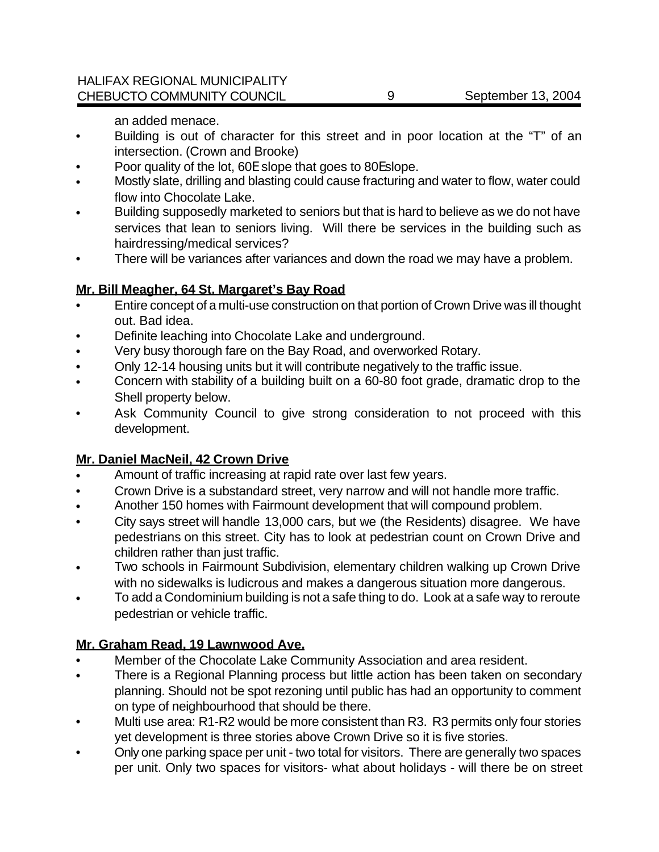an added menace.

- Building is out of character for this street and in poor location at the "T" of an intersection. (Crown and Brooke)
- Poor quality of the lot, 60E slope that goes to 80Eslope.
- Mostly slate, drilling and blasting could cause fracturing and water to flow, water could flow into Chocolate Lake.
- Building supposedly marketed to seniors but that is hard to believe as we do not have services that lean to seniors living. Will there be services in the building such as hairdressing/medical services?
- There will be variances after variances and down the road we may have a problem.

### **Mr. Bill Meagher, 64 St. Margaret's Bay Road**

- Entire concept of a multi-use construction on that portion of Crown Drive was ill thought out. Bad idea.
- Definite leaching into Chocolate Lake and underground.
- Very busy thorough fare on the Bay Road, and overworked Rotary.
- Only 12-14 housing units but it will contribute negatively to the traffic issue.
- Concern with stability of a building built on a 60-80 foot grade, dramatic drop to the Shell property below.
- Ask Community Council to give strong consideration to not proceed with this development.

### **Mr. Daniel MacNeil, 42 Crown Drive**

- Amount of traffic increasing at rapid rate over last few years.
- Crown Drive is a substandard street, very narrow and will not handle more traffic.
- Another 150 homes with Fairmount development that will compound problem.
- City says street will handle 13,000 cars, but we (the Residents) disagree. We have pedestrians on this street. City has to look at pedestrian count on Crown Drive and children rather than just traffic.
- Two schools in Fairmount Subdivision, elementary children walking up Crown Drive with no sidewalks is ludicrous and makes a dangerous situation more dangerous.
- To add a Condominium building is not a safe thing to do. Look at a safe way to reroute pedestrian or vehicle traffic.

### **Mr. Graham Read, 19 Lawnwood Ave.**

- Member of the Chocolate Lake Community Association and area resident.
- There is a Regional Planning process but little action has been taken on secondary planning. Should not be spot rezoning until public has had an opportunity to comment on type of neighbourhood that should be there.
- Multi use area: R1-R2 would be more consistent than R3. R3 permits only four stories yet development is three stories above Crown Drive so it is five stories.
- Only one parking space per unit two total for visitors. There are generally two spaces per unit. Only two spaces for visitors- what about holidays - will there be on street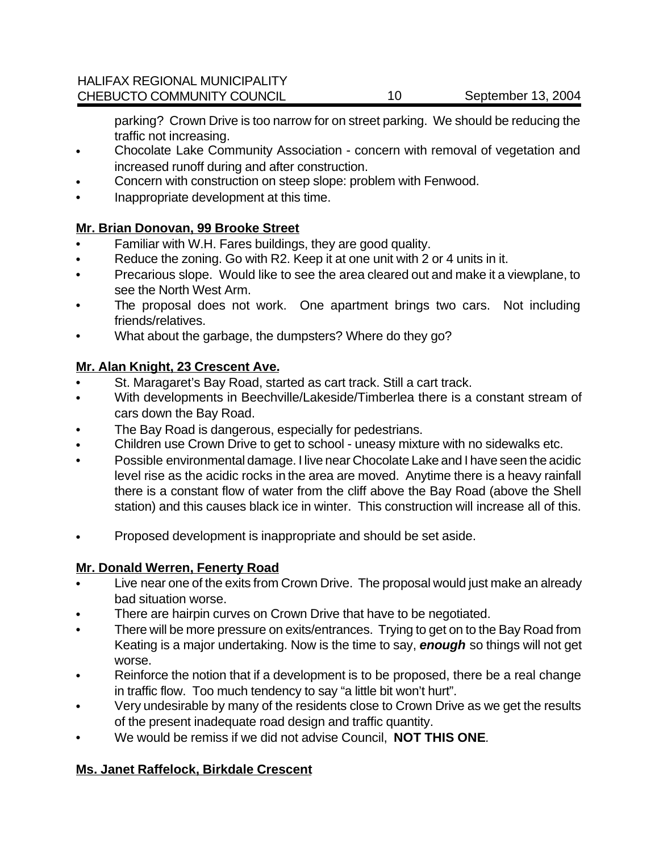parking? Crown Drive is too narrow for on street parking. We should be reducing the traffic not increasing.

- Chocolate Lake Community Association concern with removal of vegetation and increased runoff during and after construction.
- Concern with construction on steep slope: problem with Fenwood.
- Inappropriate development at this time.

### **Mr. Brian Donovan, 99 Brooke Street**

- Familiar with W.H. Fares buildings, they are good quality.
- Reduce the zoning. Go with R2. Keep it at one unit with 2 or 4 units in it.
- Precarious slope. Would like to see the area cleared out and make it a viewplane, to see the North West Arm.
- The proposal does not work. One apartment brings two cars. Not including friends/relatives.
- What about the garbage, the dumpsters? Where do they go?

### **Mr. Alan Knight, 23 Crescent Ave.**

- St. Maragaret's Bay Road, started as cart track. Still a cart track.
- With developments in Beechville/Lakeside/Timberlea there is a constant stream of cars down the Bay Road.
- The Bay Road is dangerous, especially for pedestrians.
- Children use Crown Drive to get to school uneasy mixture with no sidewalks etc.
- Possible environmental damage. I live near Chocolate Lake and I have seen the acidic level rise as the acidic rocks in the area are moved. Anytime there is a heavy rainfall there is a constant flow of water from the cliff above the Bay Road (above the Shell station) and this causes black ice in winter. This construction will increase all of this.
- Proposed development is inappropriate and should be set aside.

### **Mr. Donald Werren, Fenerty Road**

- Live near one of the exits from Crown Drive. The proposal would just make an already bad situation worse.
- There are hairpin curves on Crown Drive that have to be negotiated.
- There will be more pressure on exits/entrances. Trying to get on to the Bay Road from Keating is a major undertaking. Now is the time to say, *enough* so things will not get worse.
- Reinforce the notion that if a development is to be proposed, there be a real change in traffic flow. Too much tendency to say "a little bit won't hurt".
- Very undesirable by many of the residents close to Crown Drive as we get the results of the present inadequate road design and traffic quantity.
- We would be remiss if we did not advise Council, **NOT THIS ONE***.*

### **Ms. Janet Raffelock, Birkdale Crescent**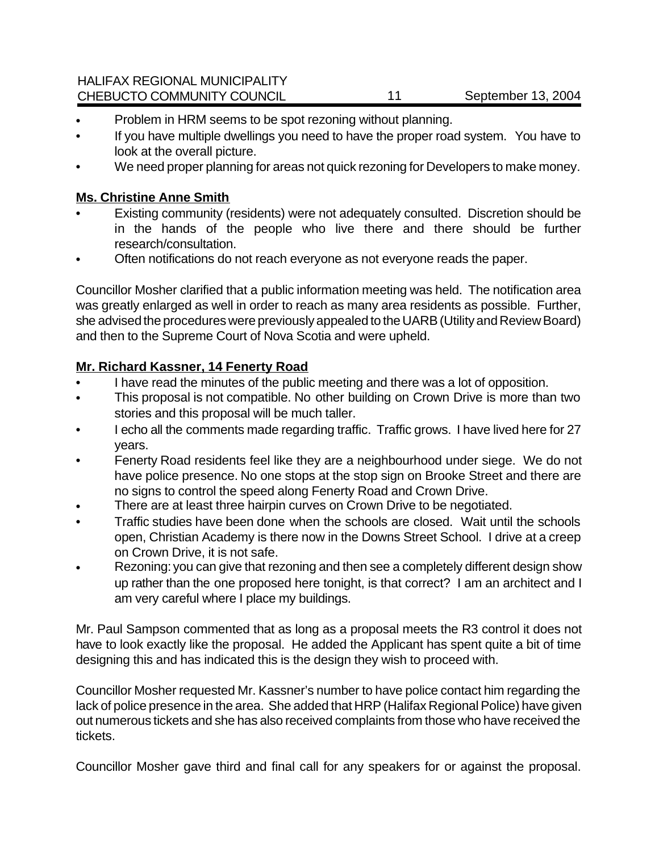### HALIFAX REGIONAL MUNICIPALITY CHEBUCTO COMMUNITY COUNCIL 11 September 13, 2004

- Problem in HRM seems to be spot rezoning without planning.
- If you have multiple dwellings you need to have the proper road system. You have to look at the overall picture.
- We need proper planning for areas not quick rezoning for Developers to make money.

### **Ms. Christine Anne Smith**

- Existing community (residents) were not adequately consulted. Discretion should be in the hands of the people who live there and there should be further research/consultation.
- Often notifications do not reach everyone as not everyone reads the paper.

Councillor Mosher clarified that a public information meeting was held. The notification area was greatly enlarged as well in order to reach as many area residents as possible. Further, she advised the procedures were previously appealed to the UARB (Utility and Review Board) and then to the Supreme Court of Nova Scotia and were upheld.

### **Mr. Richard Kassner, 14 Fenerty Road**

- I have read the minutes of the public meeting and there was a lot of opposition.
- This proposal is not compatible. No other building on Crown Drive is more than two stories and this proposal will be much taller.
- I echo all the comments made regarding traffic. Traffic grows. I have lived here for 27 years.
- Fenerty Road residents feel like they are a neighbourhood under siege. We do not have police presence. No one stops at the stop sign on Brooke Street and there are no signs to control the speed along Fenerty Road and Crown Drive.
- There are at least three hairpin curves on Crown Drive to be negotiated.
- Traffic studies have been done when the schools are closed. Wait until the schools open, Christian Academy is there now in the Downs Street School. I drive at a creep on Crown Drive, it is not safe.
- Rezoning: you can give that rezoning and then see a completely different design show up rather than the one proposed here tonight, is that correct? I am an architect and I am very careful where I place my buildings.

Mr. Paul Sampson commented that as long as a proposal meets the R3 control it does not have to look exactly like the proposal. He added the Applicant has spent quite a bit of time designing this and has indicated this is the design they wish to proceed with.

Councillor Mosher requested Mr. Kassner's number to have police contact him regarding the lack of police presence in the area. She added that HRP (Halifax Regional Police) have given out numerous tickets and she has also received complaints from those who have received the tickets.

Councillor Mosher gave third and final call for any speakers for or against the proposal.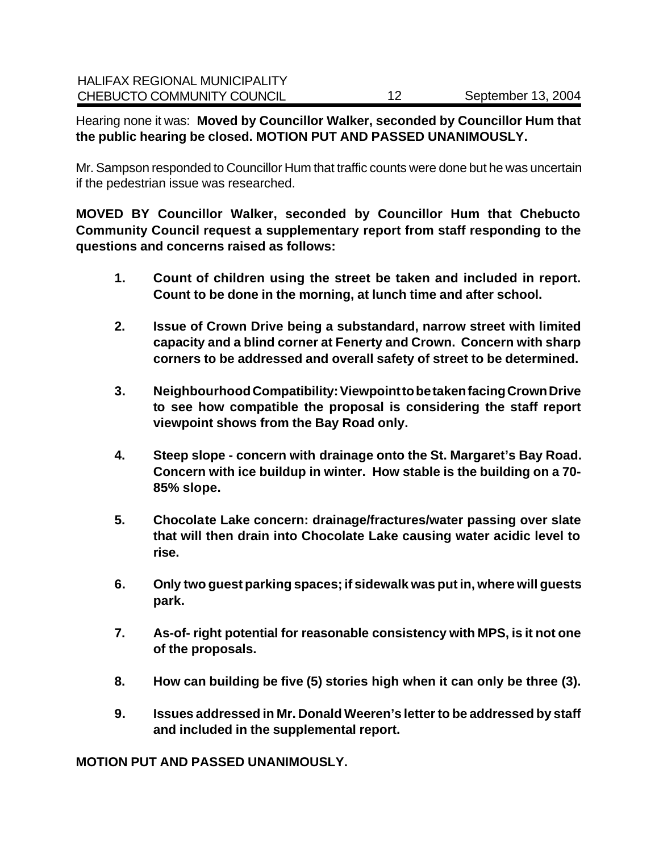Hearing none it was: **Moved by Councillor Walker, seconded by Councillor Hum that the public hearing be closed. MOTION PUT AND PASSED UNANIMOUSLY.**

Mr. Sampson responded to Councillor Hum that traffic counts were done but he was uncertain if the pedestrian issue was researched.

**MOVED BY Councillor Walker, seconded by Councillor Hum that Chebucto Community Council request a supplementary report from staff responding to the questions and concerns raised as follows:**

- **1. Count of children using the street be taken and included in report. Count to be done in the morning, at lunch time and after school.**
- **2. Issue of Crown Drive being a substandard, narrow street with limited capacity and a blind corner at Fenerty and Crown. Concern with sharp corners to be addressed and overall safety of street to be determined.**
- **3. Neighbourhood Compatibility: Viewpoint to be taken facing Crown Drive to see how compatible the proposal is considering the staff report viewpoint shows from the Bay Road only.**
- **4. Steep slope concern with drainage onto the St. Margaret's Bay Road. Concern with ice buildup in winter. How stable is the building on a 70- 85% slope.**
- **5. Chocolate Lake concern: drainage/fractures/water passing over slate that will then drain into Chocolate Lake causing water acidic level to rise.**
- **6. Only two guest parking spaces; if sidewalk was put in, where will guests park.**
- **7. As-of- right potential for reasonable consistency with MPS, is it not one of the proposals.**
- **8. How can building be five (5) stories high when it can only be three (3).**
- **9. Issues addressed in Mr. Donald Weeren's letter to be addressed by staff and included in the supplemental report.**

**MOTION PUT AND PASSED UNANIMOUSLY.**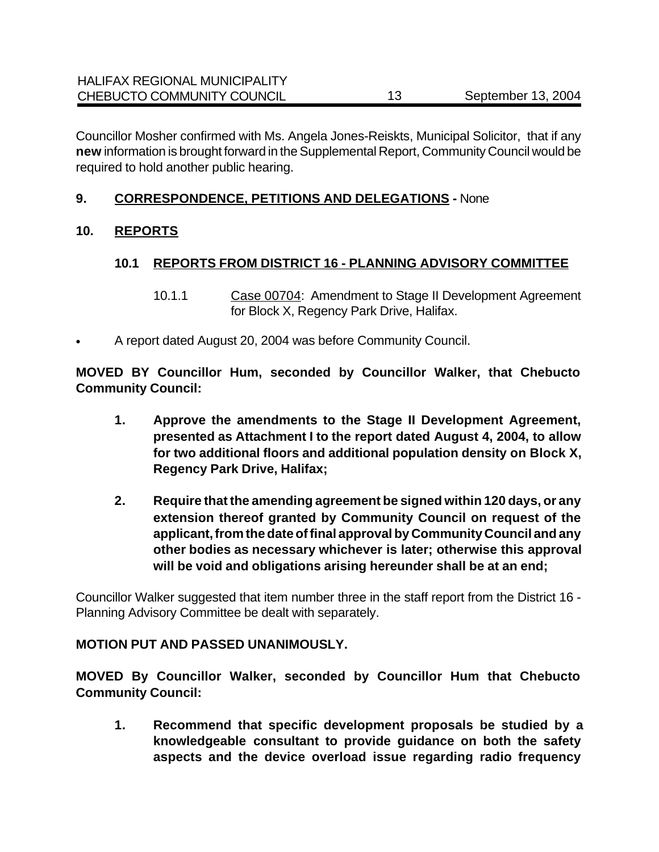Councillor Mosher confirmed with Ms. Angela Jones-Reiskts, Municipal Solicitor, that if any **new** information is brought forward in the Supplemental Report, Community Council would be required to hold another public hearing.

### **9. CORRESPONDENCE, PETITIONS AND DELEGATIONS -** None

### **10. REPORTS**

### **10.1 REPORTS FROM DISTRICT 16 - PLANNING ADVISORY COMMITTEE**

- 10.1.1 Case 00704: Amendment to Stage II Development Agreement for Block X, Regency Park Drive, Halifax.
- A report dated August 20, 2004 was before Community Council.

**MOVED BY Councillor Hum, seconded by Councillor Walker, that Chebucto Community Council:**

- **1. Approve the amendments to the Stage II Development Agreement, presented as Attachment I to the report dated August 4, 2004, to allow for two additional floors and additional population density on Block X, Regency Park Drive, Halifax;**
- **2. Require that the amending agreement be signed within 120 days, or any extension thereof granted by Community Council on request of the applicant, from the date of final approval by Community Council and any other bodies as necessary whichever is later; otherwise this approval will be void and obligations arising hereunder shall be at an end;**

Councillor Walker suggested that item number three in the staff report from the District 16 - Planning Advisory Committee be dealt with separately.

#### **MOTION PUT AND PASSED UNANIMOUSLY.**

**MOVED By Councillor Walker, seconded by Councillor Hum that Chebucto Community Council:**

**1. Recommend that specific development proposals be studied by a knowledgeable consultant to provide guidance on both the safety aspects and the device overload issue regarding radio frequency**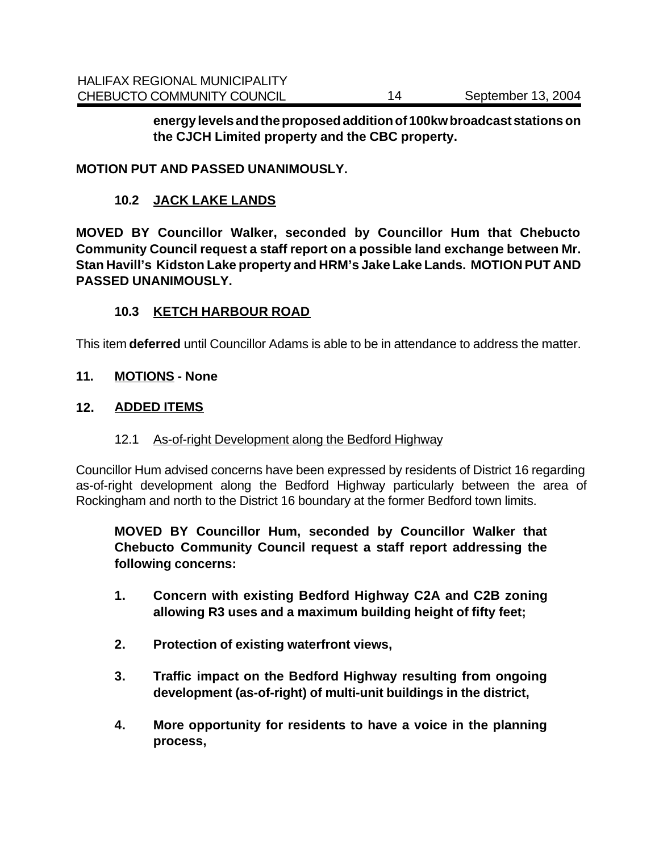**energy levels and the proposed addition of 100kw broadcast stations on the CJCH Limited property and the CBC property.**

#### **MOTION PUT AND PASSED UNANIMOUSLY.**

#### **10.2 JACK LAKE LANDS**

**MOVED BY Councillor Walker, seconded by Councillor Hum that Chebucto Community Council request a staff report on a possible land exchange between Mr. Stan Havill's Kidston Lake property and HRM's Jake Lake Lands. MOTION PUT AND PASSED UNANIMOUSLY.**

#### **10.3 KETCH HARBOUR ROAD**

This item **deferred** until Councillor Adams is able to be in attendance to address the matter.

#### **11. MOTIONS - None**

#### **12. ADDED ITEMS**

#### 12.1 As-of-right Development along the Bedford Highway

Councillor Hum advised concerns have been expressed by residents of District 16 regarding as-of-right development along the Bedford Highway particularly between the area of Rockingham and north to the District 16 boundary at the former Bedford town limits.

**MOVED BY Councillor Hum, seconded by Councillor Walker that Chebucto Community Council request a staff report addressing the following concerns:**

- **1. Concern with existing Bedford Highway C2A and C2B zoning allowing R3 uses and a maximum building height of fifty feet;**
- **2. Protection of existing waterfront views,**
- **3. Traffic impact on the Bedford Highway resulting from ongoing development (as-of-right) of multi-unit buildings in the district,**
- **4. More opportunity for residents to have a voice in the planning process,**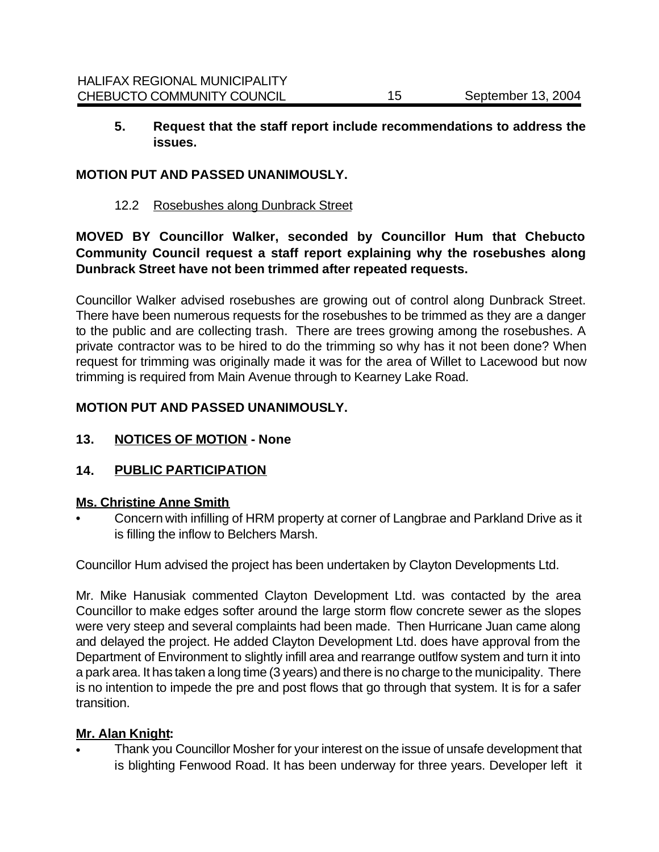**5. Request that the staff report include recommendations to address the issues.** 

#### **MOTION PUT AND PASSED UNANIMOUSLY.**

12.2 Rosebushes along Dunbrack Street

**MOVED BY Councillor Walker, seconded by Councillor Hum that Chebucto Community Council request a staff report explaining why the rosebushes along Dunbrack Street have not been trimmed after repeated requests.** 

Councillor Walker advised rosebushes are growing out of control along Dunbrack Street. There have been numerous requests for the rosebushes to be trimmed as they are a danger to the public and are collecting trash. There are trees growing among the rosebushes. A private contractor was to be hired to do the trimming so why has it not been done? When request for trimming was originally made it was for the area of Willet to Lacewood but now trimming is required from Main Avenue through to Kearney Lake Road.

#### **MOTION PUT AND PASSED UNANIMOUSLY.**

**13. NOTICES OF MOTION - None**

### **14. PUBLIC PARTICIPATION**

#### **Ms. Christine Anne Smith**

• Concern with infilling of HRM property at corner of Langbrae and Parkland Drive as it is filling the inflow to Belchers Marsh.

Councillor Hum advised the project has been undertaken by Clayton Developments Ltd.

Mr. Mike Hanusiak commented Clayton Development Ltd. was contacted by the area Councillor to make edges softer around the large storm flow concrete sewer as the slopes were very steep and several complaints had been made. Then Hurricane Juan came along and delayed the project. He added Clayton Development Ltd. does have approval from the Department of Environment to slightly infill area and rearrange outlfow system and turn it into a park area. It has taken a long time (3 years) and there is no charge to the municipality. There is no intention to impede the pre and post flows that go through that system. It is for a safer transition.

#### **Mr. Alan Knight:**

• Thank you Councillor Mosher for your interest on the issue of unsafe development that is blighting Fenwood Road. It has been underway for three years. Developer left it